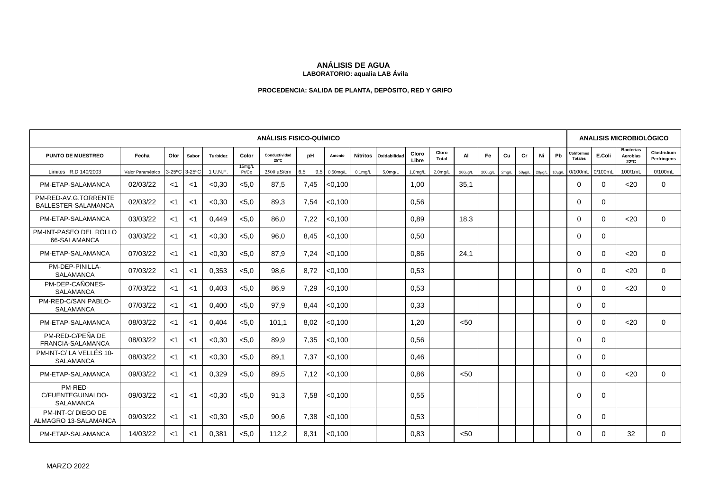# **ANÁLISIS DE AGUA**

#### **LABORATORIO: aqualia LAB Ávila**

## **PROCEDENCIA: SALIDA DE PLANTA, DEPÓSITO, RED Y GRIFO**

|                                                  |                   |               |       |                 |                 | <b>ANÁLISIS FISICO-QUÍMICO</b> |            |             |            |                       |                |                |         |               |       |              |             |             | <b>ANALISIS MICROBIOLÓGICO</b>      |             |                                             |                            |  |  |
|--------------------------------------------------|-------------------|---------------|-------|-----------------|-----------------|--------------------------------|------------|-------------|------------|-----------------------|----------------|----------------|---------|---------------|-------|--------------|-------------|-------------|-------------------------------------|-------------|---------------------------------------------|----------------------------|--|--|
| <b>PUNTO DE MUESTREO</b>                         | Fecha             | Olor          | Sabor | <b>Turbidez</b> | Color           | Conductividad<br>25°C          | pH         | Amonio      |            | Nitritos Oxidabilidad | Cloro<br>Libre | Cloro<br>Total | AI      | Fe            | Cu    | Cr           | Ni          | Pb          | <b>Coliformes</b><br><b>Totales</b> | E.Coli      | <b>Bacterias</b><br><b>Aerobias</b><br>22°C | Clostridium<br>Perfringens |  |  |
| Límites R.D 140/2003                             | Valor Paramétrico | 3-25°C 3-25°C |       | 1 U.N.F.        | 15mg/L<br>Pt/Co | $2500 \mu$ S/cm                | 6,5<br>9,5 | $0.50$ mg/L | $0.1$ mg/L | 5,0mg/L               | $1,0$ mg/L     | $2,0$ mg/L     | 200µg/L | $200 \mu g/L$ | 2mg/L | $50 \mu g/L$ | $20\mu$ g/L | $10\mu$ g/L | 0/100mL                             | 0/100ml     | 100/1mL                                     | 0/100mL                    |  |  |
| PM-ETAP-SALAMANCA                                | 02/03/22          | $<$ 1         | $<$ 1 | < 0.30          | < 5.0           | 87.5                           | 7.45       | < 0.100     |            |                       | 1.00           |                | 35.1    |               |       |              |             |             | $\Omega$                            | $\Omega$    | $20$                                        | $\Omega$                   |  |  |
| PM-RED-AV.G.TORRENTE<br>BALLESTER-SALAMANCA      | 02/03/22          | $<$ 1         | $<$ 1 | < 0.30          | < 5.0           | 89.3                           | 7.54       | < 0.100     |            |                       | 0.56           |                |         |               |       |              |             |             | $\Omega$                            | $\mathbf 0$ |                                             |                            |  |  |
| PM-ETAP-SALAMANCA                                | 03/03/22          | $<$ 1         | $<$ 1 | 0.449           | < 5.0           | 86.0                           | 7.22       | < 0.100     |            |                       | 0.89           |                | 18.3    |               |       |              |             |             | $\mathbf 0$                         | $\Omega$    | $20$                                        | $\mathbf 0$                |  |  |
| PM-INT-PASEO DEL ROLLO<br>66-SALAMANCA           | 03/03/22          | $<$ 1         | -1    | < 0.30          | < 5.0           | 96.0                           | 8.45       | < 0.100     |            |                       | 0,50           |                |         |               |       |              |             |             | $\Omega$                            | $\Omega$    |                                             |                            |  |  |
| PM-ETAP-SALAMANCA                                | 07/03/22          | $<$ 1         | -1    | < 0.30          | < 5.0           | 87.9                           | 7,24       | < 0.100     |            |                       | 0.86           |                | 24,1    |               |       |              |             |             | $\Omega$                            | $\Omega$    | $20$                                        | $\Omega$                   |  |  |
| PM-DEP-PINILLA-<br><b>SALAMANCA</b>              | 07/03/22          | $<$ 1         | <1    | 0.353           | < 5.0           | 98.6                           | 8.72       | < 0.100     |            |                       | 0.53           |                |         |               |       |              |             |             | $\Omega$                            | $\Omega$    | $20$                                        | $\Omega$                   |  |  |
| PM-DEP-CAÑONES-<br><b>SALAMANCA</b>              | 07/03/22          | $<$ 1         | $<$ 1 | 0,403           | < 5.0           | 86.9                           | 7,29       | < 0.100     |            |                       | 0,53           |                |         |               |       |              |             |             | $\Omega$                            | $\Omega$    | $20$                                        | $\Omega$                   |  |  |
| PM-RED-C/SAN PABLO-<br><b>SALAMANCA</b>          | 07/03/22          | $<$ 1         | $<$ 1 | 0.400           | < 5.0           | 97.9                           | 8.44       | < 0.100     |            |                       | 0.33           |                |         |               |       |              |             |             | $\Omega$                            | $\Omega$    |                                             |                            |  |  |
| PM-ETAP-SALAMANCA                                | 08/03/22          | $<$ 1         | $<$ 1 | 0.404           | < 5.0           | 101.1                          | 8.02       | < 0.100     |            |                       | 1.20           |                | < 50    |               |       |              |             |             | $\Omega$                            | $\Omega$    | $20$                                        | $\Omega$                   |  |  |
| PM-RED-C/PEÑA DE<br>FRANCIA-SALAMANCA            | 08/03/22          | $<$ 1         | $<$ 1 | < 0.30          | < 5.0           | 89,9                           | 7,35       | < 0.100     |            |                       | 0.56           |                |         |               |       |              |             |             | $\Omega$                            | 0           |                                             |                            |  |  |
| PM-INT-C/LA VELLÉS 10-<br><b>SALAMANCA</b>       | 08/03/22          | $<$ 1         | $<$ 1 | < 0.30          | < 5.0           | 89.1                           | 7,37       | < 0.100     |            |                       | 0.46           |                |         |               |       |              |             |             | $\Omega$                            | $\Omega$    |                                             |                            |  |  |
| PM-ETAP-SALAMANCA                                | 09/03/22          | $<$ 1         | $<$ 1 | 0.329           | < 5.0           | 89.5                           | 7.12       | < 0,100     |            |                       | 0.86           |                | < 50    |               |       |              |             |             | $\Omega$                            | $\Omega$    | $20$                                        | $\Omega$                   |  |  |
| PM-RED-<br>C/FUENTEGUINALDO-<br><b>SALAMANCA</b> | 09/03/22          | $<$ 1         | $<$ 1 | < 0.30          | < 5.0           | 91.3                           | 7,58       | < 0.100     |            |                       | 0,55           |                |         |               |       |              |             |             | $\Omega$                            | $\Omega$    |                                             |                            |  |  |
| PM-INT-C/DIEGO DE<br>ALMAGRO 13-SALAMANCA        | 09/03/22          | $<$ 1         | $<$ 1 | < 0.30          | < 5.0           | 90.6                           | 7,38       | < 0.100     |            |                       | 0.53           |                |         |               |       |              |             |             | $\Omega$                            | $\Omega$    |                                             |                            |  |  |
| PM-ETAP-SALAMANCA                                | 14/03/22          | $<$ 1         | $<$ 1 | 0.381           | < 5.0           | 112.2                          | 8.31       | < 0.100     |            |                       | 0.83           |                | < 50    |               |       |              |             |             | $\Omega$                            | 0           | 32                                          | $\Omega$                   |  |  |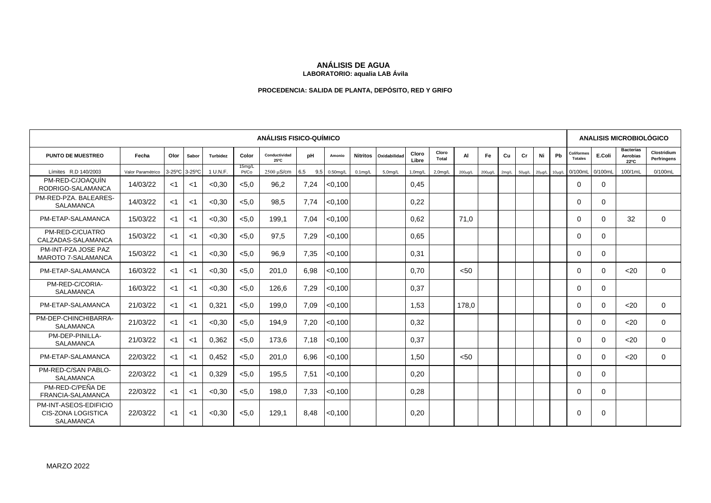## **ANÁLISIS DE AGUA**

#### **LABORATORIO: aqualia LAB Ávila**

## **PROCEDENCIA: SALIDA DE PLANTA, DEPÓSITO, RED Y GRIFO**

|                                                                 | <b>ANÁLISIS FISICO-QUÍMICO</b> |       |               |                 |                 |                       |            |             |                 |                      |                |                      |         |               |       |    | <b>ANALISIS MICROBIOLÓGICO</b> |             |                              |          |                                      |                            |
|-----------------------------------------------------------------|--------------------------------|-------|---------------|-----------------|-----------------|-----------------------|------------|-------------|-----------------|----------------------|----------------|----------------------|---------|---------------|-------|----|--------------------------------|-------------|------------------------------|----------|--------------------------------------|----------------------------|
| <b>PUNTO DE MUESTREO</b>                                        | Fecha                          | Olor  | Sabor         | <b>Turbidez</b> | Color           | Conductividad<br>25°C | pH         | Amonio      | <b>Nitritos</b> | Oxidabilidad         | Cloro<br>Libre | Cloro<br>Total       | AI      | Fe            | Cu    | Cr | Ni                             | Pb          | Coliformes<br><b>Totales</b> | E.Coli   | <b>Bacterias</b><br>Aerobias<br>22°C | Clostridium<br>Perfringens |
| Límites R.D 140/2003                                            | Valor Paramétrico              |       | 3-25°C 3-25°C | 1 U.N.F.        | 15mg/L<br>Pt/Co | 2500 µS/cm            | 6.5<br>9.5 | $0.50$ mg/L | $0.1$ mg/L      | 5.0 <sub>m</sub> q/L | $1,0$ mg/L     | 2.0 <sub>m</sub> q/L | 200µg/L | $200 \mu g/L$ | 2mg/L |    | 50µg/L 20µg/L                  | $10\mu g/L$ | 0/100mL                      | 0/100mL  | 100/1mL                              | 0/100mL                    |
| PM-RED-C/JOAQUÍN<br>RODRIGO-SALAMANCA                           | 14/03/22                       | ا>    | $<$ 1         | < 0.30          | < 5.0           | 96,2                  | 7,24       | < 0.100     |                 |                      | 0,45           |                      |         |               |       |    |                                |             | $\Omega$                     | $\Omega$ |                                      |                            |
| PM-RED-PZA, BALEARES-<br><b>SALAMANCA</b>                       | 14/03/22                       | -1    | $<$ 1         | < 0.30          | < 5.0           | 98.5                  | 7.74       | < 0.100     |                 |                      | 0,22           |                      |         |               |       |    |                                |             | $\mathbf 0$                  | $\Omega$ |                                      |                            |
| PM-ETAP-SALAMANCA                                               | 15/03/22                       | ا>    | $<$ 1         | < 0.30          | < 5.0           | 199.1                 | 7.04       | < 0,100     |                 |                      | 0.62           |                      | 71,0    |               |       |    |                                |             | $\Omega$                     | $\Omega$ | 32                                   | $\Omega$                   |
| PM-RED-C/CUATRO<br>CALZADAS-SALAMANCA                           | 15/03/22                       | ا>    | $<$ 1         | < 0.30          | < 5.0           | 97,5                  | 7,29       | < 0.100     |                 |                      | 0.65           |                      |         |               |       |    |                                |             | $\Omega$                     | $\Omega$ |                                      |                            |
| PM-INT-PZA JOSE PAZ<br><b>MAROTO 7-SALAMANCA</b>                | 15/03/22                       | $<$ 1 | $<$ 1         | < 0.30          | < 5.0           | 96,9                  | 7,35       | < 0.100     |                 |                      | 0,31           |                      |         |               |       |    |                                |             | $\Omega$                     | $\Omega$ |                                      |                            |
| PM-ETAP-SALAMANCA                                               | 16/03/22                       | ا>    | $<$ 1         | < 0.30          | < 5.0           | 201,0                 | 6,98       | < 0.100     |                 |                      | 0.70           |                      | < 50    |               |       |    |                                |             | $\Omega$                     | $\Omega$ | $20$                                 | $\Omega$                   |
| PM-RED-C/CORIA-<br><b>SALAMANCA</b>                             | 16/03/22                       | $<$ 1 | $<$ 1         | < 0.30          | < 5.0           | 126.6                 | 7,29       | < 0.100     |                 |                      | 0.37           |                      |         |               |       |    |                                |             | $\Omega$                     | $\Omega$ |                                      |                            |
| PM-ETAP-SALAMANCA                                               | 21/03/22                       | $<$ 1 | $<$ 1         | 0,321           | < 5.0           | 199,0                 | 7,09       | < 0.100     |                 |                      | 1,53           |                      | 178.0   |               |       |    |                                |             | $\Omega$                     | $\Omega$ | $20$                                 | $\Omega$                   |
| PM-DEP-CHINCHIBARRA-<br>SALAMANCA                               | 21/03/22                       | $<$ 1 | $<$ 1         | < 0.30          | < 5.0           | 194.9                 | 7,20       | < 0.100     |                 |                      | 0,32           |                      |         |               |       |    |                                |             | $\Omega$                     | $\Omega$ | $20$                                 | $\Omega$                   |
| PM-DEP-PINILLA-<br><b>SALAMANCA</b>                             | 21/03/22                       | ا>    | $<$ 1         | 0,362           | < 5.0           | 173,6                 | 7,18       | < 0.100     |                 |                      | 0,37           |                      |         |               |       |    |                                |             | $\Omega$                     | $\Omega$ | $20$                                 | $\Omega$                   |
| PM-ETAP-SALAMANCA                                               | 22/03/22                       | $<$ 1 | $<$ 1         | 0.452           | < 5.0           | 201.0                 | 6.96       | < 0,100     |                 |                      | 1.50           |                      | < 50    |               |       |    |                                |             | $\Omega$                     | $\Omega$ | $20$                                 | $\Omega$                   |
| PM-RED-C/SAN PABLO-<br><b>SALAMANCA</b>                         | 22/03/22                       | $<$ 1 | <1            | 0,329           | < 5.0           | 195,5                 | 7,51       | < 0.100     |                 |                      | 0,20           |                      |         |               |       |    |                                |             | $\Omega$                     | $\Omega$ |                                      |                            |
| PM-RED-C/PEÑA DE<br>FRANCIA-SALAMANCA                           | 22/03/22                       | ا>    | $<$ 1         | < 0.30          | < 5.0           | 198.0                 | 7,33       | < 0.100     |                 |                      | 0,28           |                      |         |               |       |    |                                |             | $\Omega$                     | $\Omega$ |                                      |                            |
| PM-INT-ASEOS-EDIFICIO<br>CIS-ZONA LOGISTICA<br><b>SALAMANCA</b> | 22/03/22                       | ا>    | $<$ 1         | < 0.30          | < 5.0           | 129.1                 | 8.48       | < 0.100     |                 |                      | 0,20           |                      |         |               |       |    |                                |             | $\Omega$                     | $\Omega$ |                                      |                            |